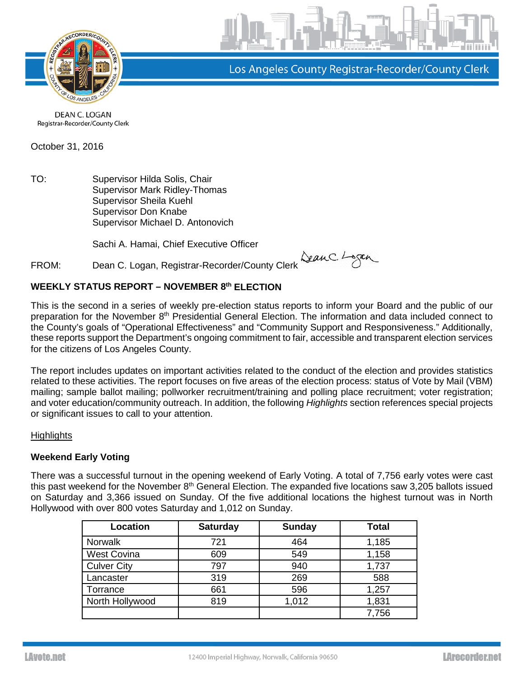

Los Angeles County Registrar-Recorder/County Clerk

DEAN C. LOGAN Registrar-Recorder/County Clerk

October 31, 2016

TO: Supervisor Hilda Solis, Chair Supervisor Mark Ridley-Thomas Supervisor Sheila Kuehl Supervisor Don Knabe Supervisor Michael D. Antonovich

Sachi A. Hamai, Chief Executive Officer

FROM: Dean C. Logan, Registrar-Recorder/County Clerk SeanC. Logan

# **WEEKLY STATUS REPORT – NOVEMBER 8th ELECTION**

This is the second in a series of weekly pre-election status reports to inform your Board and the public of our preparation for the November 8<sup>th</sup> Presidential General Election. The information and data included connect to the County's goals of "Operational Effectiveness" and "Community Support and Responsiveness." Additionally, these reports support the Department's ongoing commitment to fair, accessible and transparent election services for the citizens of Los Angeles County.

The report includes updates on important activities related to the conduct of the election and provides statistics related to these activities. The report focuses on five areas of the election process: status of Vote by Mail (VBM) mailing; sample ballot mailing; pollworker recruitment/training and polling place recruitment; voter registration; and voter education/community outreach. In addition, the following *Highlights* section references special projects or significant issues to call to your attention.

# **Highlights**

# **Weekend Early Voting**

There was a successful turnout in the opening weekend of Early Voting. A total of 7,756 early votes were cast this past weekend for the November 8<sup>th</sup> General Election. The expanded five locations saw 3,205 ballots issued on Saturday and 3,366 issued on Sunday. Of the five additional locations the highest turnout was in North Hollywood with over 800 votes Saturday and 1,012 on Sunday.

| Location           | <b>Saturday</b> | <b>Sunday</b> | <b>Total</b> |
|--------------------|-----------------|---------------|--------------|
| <b>Norwalk</b>     | 721             | 464           | 1,185        |
| <b>West Covina</b> | 609             | 549           | 1,158        |
| <b>Culver City</b> | 797             | 940           | 1,737        |
| Lancaster          | 319             | 269           | 588          |
| Torrance           | 661             | 596           | 1,257        |
| North Hollywood    | 819             | 1,012         | 1,831        |
|                    |                 |               | 7,756        |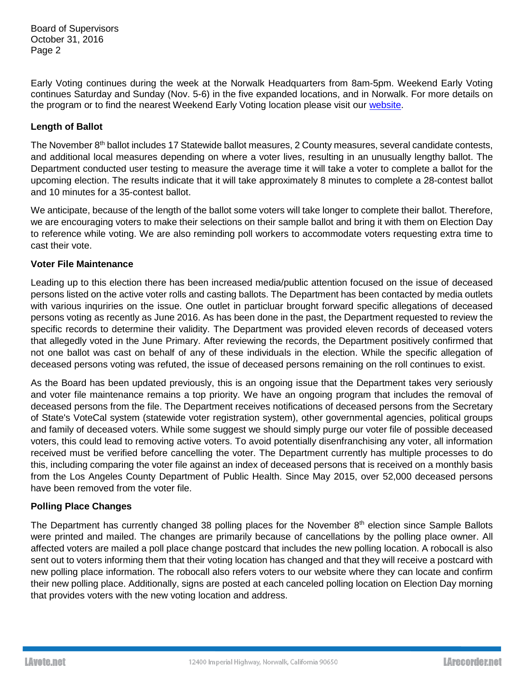Board of Supervisors October 31, 2016 Page 2

Early Voting continues during the week at the Norwalk Headquarters from 8am-5pm. Weekend Early Voting continues Saturday and Sunday (Nov. 5-6) in the five expanded locations, and in Norwalk. For more details on the program or to find the nearest Weekend Early Voting location please visit our [website.](http://lavote.net/home/voting-elections/voting-options/early-voting/early-voting)

# **Length of Ballot**

The November 8th ballot includes 17 Statewide ballot measures, 2 County measures, several candidate contests, and additional local measures depending on where a voter lives, resulting in an unusually lengthy ballot. The Department conducted user testing to measure the average time it will take a voter to complete a ballot for the upcoming election. The results indicate that it will take approximately 8 minutes to complete a 28-contest ballot and 10 minutes for a 35-contest ballot.

We anticipate, because of the length of the ballot some voters will take longer to complete their ballot. Therefore, we are encouraging voters to make their selections on their sample ballot and bring it with them on Election Day to reference while voting. We are also reminding poll workers to accommodate voters requesting extra time to cast their vote.

# **Voter File Maintenance**

Leading up to this election there has been increased media/public attention focused on the issue of deceased persons listed on the active voter rolls and casting ballots. The Department has been contacted by media outlets with various inquriries on the issue. One outlet in particluar brought forward specific allegations of deceased persons voting as recently as June 2016. As has been done in the past, the Department requested to review the specific records to determine their validity. The Department was provided eleven records of deceased voters that allegedly voted in the June Primary. After reviewing the records, the Department positively confirmed that not one ballot was cast on behalf of any of these individuals in the election. While the specific allegation of deceased persons voting was refuted, the issue of deceased persons remaining on the roll continues to exist.

As the Board has been updated previously, this is an ongoing issue that the Department takes very seriously and voter file maintenance remains a top priority. We have an ongoing program that includes the removal of deceased persons from the file. The Department receives notifications of deceased persons from the Secretary of State's VoteCal system (statewide voter registration system), other governmental agencies, political groups and family of deceased voters. While some suggest we should simply purge our voter file of possible deceased voters, this could lead to removing active voters. To avoid potentially disenfranchising any voter, all information received must be verified before cancelling the voter. The Department currently has multiple processes to do this, including comparing the voter file against an index of deceased persons that is received on a monthly basis from the Los Angeles County Department of Public Health. Since May 2015, over 52,000 deceased persons have been removed from the voter file.

# **Polling Place Changes**

The Department has currently changed 38 polling places for the November 8<sup>th</sup> election since Sample Ballots were printed and mailed. The changes are primarily because of cancellations by the polling place owner. All affected voters are mailed a poll place change postcard that includes the new polling location. A robocall is also sent out to voters informing them that their voting location has changed and that they will receive a postcard with new polling place information. The robocall also refers voters to our website where they can locate and confirm their new polling place. Additionally, signs are posted at each canceled polling location on Election Day morning that provides voters with the new voting location and address.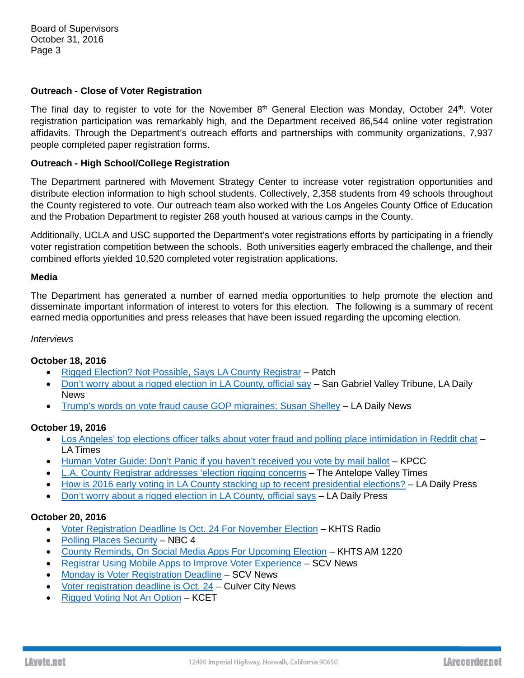Board of Supervisors October 31, 2016 Page 3

### **Outreach - Close of Voter Registration**

The final day to register to vote for the November  $8<sup>th</sup>$  General Election was Monday, October 24<sup>th</sup>. Voter registration participation was remarkably high, and the Department received 86,544 online voter registration affidavits. Through the Department's outreach efforts and partnerships with community organizations, 7,937 people completed paper registration forms.

### **Outreach - High School/College Registration**

The Department partnered with Movement Strategy Center to increase voter registration opportunities and distribute election information to high school students. Collectively, 2,358 students from 49 schools throughout the County registered to vote. Our outreach team also worked with the Los Angeles County Office of Education and the Probation Department to register 268 youth housed at various camps in the County.

Additionally, UCLA and USC supported the Department's voter registrations efforts by participating in a friendly voter registration competition between the schools. Both universities eagerly embraced the challenge, and their combined efforts yielded 10,520 completed voter registration applications.

#### **Media**

The Department has generated a number of earned media opportunities to help promote the election and disseminate important information of interest to voters for this election. The following is a summary of recent earned media opportunities and press releases that have been issued regarding the upcoming election.

#### *Interviews*

### **October 18, 2016**

- [Rigged Election? Not Possible, Says LA County Registrar](http://patch.com/california/northhollywood/rigged-election-not-possible-says-la-county-registrar) Patch
- [Don't worry about a rigged election in LA County, official say](http://www.sgvtribune.com/government-and-politics/20161018/dont-worry-about-a-rigged-election-in-la-county-official-says) San Gabriel Valley Tribune, LA Daily **News**
- [Trump's words on vote fraud cause GOP migraines: Susan Shelley](http://www.dailynews.com/government-and-politics/20161018/trumps-words-on-vote-fraud-cause-gop-migraines-susan-shelley) LA Daily News

### **October 19, 2016**

- [Los Angeles' top elections officer talks about voter fraud and polling place intimidation in Reddit chat](http://www.latimes.com/politics/essential/la-pol-sac-essential-politics-updates-los-angeles-top-elections-officer-1476744460-htmlstory.html) LA Times
- [Human Voter Guide: Don't Panic if you haven't received you vote by mail ballot](http://www.scpr.org/news/2016/10/17/65646/human-voter-guide-don-t-panic-if-you-haven-t-recei/) KPCC
- [L.A. County Registrar addresses 'election rigging concerns](http://theavtimes.com/2016/10/19/l-a-county-registrar-address-election-rigging-concerns/) The Antelope Valley Times
- [How is 2016 early voting in LA County stacking up to recent presidential elections?](http://www.dailynews.com/government-and-politics/20161019/how-is-2016-early-voting-in-la-county-stacking-up-to-recent-presidential-elections) LA Daily Press
- [Don't worry about a rigged election in LA County, official says](http://www.dailynews.com/government-and-politics/20161018/dont-worry-about-a-rigged-election-in-la-county-official-says) LA Daily Press

# **October 20, 2016**

- [Voter Registration Deadline Is Oct. 24 For November Election](http://www.hometownstation.com/santa-clarita-news/politics/santa-clarita-elections/voter-registration-deadline-is-oct-24-for-november-election-178112) KHTS Radio
- [Polling Places Security](http://www.nbclosangeles.com/on-air/as-seen-on/Polling-Places-Security_Los-Angeles-397790291.html) NBC 4
- [County Reminds, On Social Media Apps For Upcoming Election](http://www.hometownstation.com/santa-clarita-news/politics/santa-clarita-elections/voter-registration-deadline-is-oct-24-for-november-election-178112) KHTS AM 1220
- [Registrar Using Mobile Apps to Improve Voter Experience](http://scvnews.com/2016/10/20/registrar-using-mobile-apps-to-improve-voter-experience/) SCV News
- [Monday is Voter Registration Deadline](http://scvnews.com/2016/10/20/monday-is-voter-registration-deadline/) SCV News
- [Voter registration deadline is Oct. 24](http://www.culvercitynews.org/politics/voter-registration-deadline-is-oct-24/) Culver City News
- [Rigged Voting Not An Option](https://www.kcet.org/ballot-brief/rigged-voting-not-an-option) KCET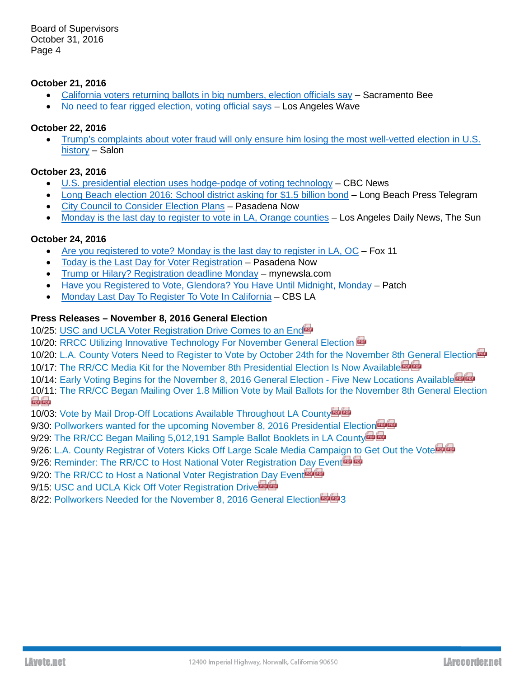Board of Supervisors October 31, 2016 Page 4

### **October 21, 2016**

- [California voters returning ballots in big numbers, election officials say](http://www.sacbee.com/news/politics-government/capitol-alert/article109797027.html) Sacramento Bee
- [No need to fear rigged election, voting official says](http://wavenewspapers.com/no-need-to-fear-rigged-election-voting-official-says/) Los Angeles Wave

### **October 22, 2016**

• [Trump's complaints about voter fraud will only ensure him losing the most well-vetted election in U.S.](http://www.salon.com/2016/10/22/trumps-complaints-about-voter-fraud-will-only-ensure-him-losing-the-most-well-vetted-election-in-u-s-history_partner/)  [history](http://www.salon.com/2016/10/22/trumps-complaints-about-voter-fraud-will-only-ensure-him-losing-the-most-well-vetted-election-in-u-s-history_partner/) – Salon

# **October 23, 2016**

- [U.S. presidential election uses hodge-podge of voting technology](http://www.cbc.ca/news/technology/presidential-election-voting-technology-1.3815739) CBC News
- [Long Beach election 2016: School district asking for \\$1.5 billion bond](http://www.presstelegram.com/social-affairs/20161022/long-beach-election-2016-school-district-asking-for-15-billion-bond) Long Beach Press Telegram
- [City Council to Consider Election Plans](http://www.pasadenanow.com/main/city-council-to-consider-election-plans/%23.WA4wjuUrJ9M) Pasadena Now
- [Monday is the last day to register to vote in LA, Orange counties](http://www.dailynews.com/government-and-politics/20161023/monday-is-the-last-day-to-register-to-vote-in-la-orange-counties) Los Angeles Daily News, The Sun

### **October 24, 2016**

- [Are you registered to vote? Monday is the last day to register in LA, OC](http://www.foxla.com/news/local-news/213298910-story) Fox 11
- [Today is the Last Day for Voter Registration](http://www.pasadenanow.com/main/today-is-the-last-day-for-voter-registration/%23.WA5DjeUrJ9M) Pasadena Now
- [Trump or Hilary? Registration deadline Monday](http://mynewsla.com/government/2016/10/24/trump-or-hillary-registration-deadline-monday/) mynewsla.com
- [Have you Registered to Vote, Glendora? You Have Until Midnight, Monday](http://patch.com/california/glendora/have-you-registered-vote-glendora-you-have-until-midnight-monday) Patch
- [Monday Last Day To Register To Vote In California](http://losangeles.cbslocal.com/2016/10/24/monday-last-day-to-register-to-vote-in-california/) CBS LA

# **Press Releases – November 8, 2016 General Election**

10/25: [USC and UCLA Voter Registration Drive Comes to an End](http://www.lavote.net/Documents/News_Releases/11082016-USC-UCLA-Results.pdf)er

10/20: [RRCC Utilizing Innovative Technology For November General Election](http://www.lavote.net/Documents/News_Releases/11082016-geo-snap-release.pdf)

10/20: [L.A. County Voters Need to Register to Vote by October 24th for the November 8th General Election](http://www.lavote.net/Documents/News_Releases/11082016-close-of-reg.pdf)<sup>to</sup>

10/17: [The RR/CC Media Kit for the November 8th Presidential Election Is Now Available](https://www.lavote.net/Documents/News_Releases/11082016-media-kit-release.pdf)

10/14: [Early Voting Begins for the November 8, 2016 General Election -](https://www.lavote.net/Documents/News_Releases/11082016-Early-Voting.pdf) Fiv[e](https://www.lavote.net/Documents/News_Releases/11082016-Early-Voting.pdf) New Locations Available啤啤

[10/11](https://www.lavote.net/Documents/News_Releases/11082016-VBM-Mailing.pdf): [The RR/CC Began Mailing Over 1.8 Million Vote by Mail Ballots for the November 8th General Election](https://www.lavote.net/Documents/News_Releases/11082016-VBM-Mailing.pdf) and

10/03: [Vote by Mail Drop-Off Locations Available Throughout LA County](https://www.lavote.net/Documents/News_Releases/11082016_VBM-Drop-Off-Release.pdf)

9/30: [Pollworkers wanted for the upcoming November 8, 2016 Presidential Election](https://www.lavote.net/Documents/News_Releases/11082016-pollworker-recruitment.pdf)<sup>tra</sup>

9/29: [The RR/CC Began Mailing 5,012,191 Sample](https://www.lavote.net/Documents/News_Releases/11082016-sbb-mailing.pdf) Ballot Booklets in LA Count[y](https://www.lavote.net/Documents/News_Releases/11082016-sbb-mailing.pdf)

9/26: [L.A. County Registrar of Voters Kicks Off Large Scale Media Campaign to Get Out the Vote](https://www.lavote.net/Documents/News_Releases/11082016-media-partner-release.pdf)

9/26: [Reminder: The RR/CC to Host National Voter Registration Day Event](https://www.lavote.net/Documents/News_Releases/NVRD-Media-Advisory-Reminder.pdf)

9/20: [The RR/CC to Host a National Voter Registration Day Event](https://www.lavote.net/Documents/News_Releases/NVRD-media-advisory.pdf) of

9/15: [USC and UCLA Kick Off Voter Registration Drive](https://www.lavote.net/Documents/News_Releases/USCvUCLA-NVRDFINAL.pdf)

8/22: [Pollworkers Needed for the November 8, 2016 General Election](https://www.lavote.net/Documents/News_Releases/11082016-pollworker-recruitment.pdf) 4 3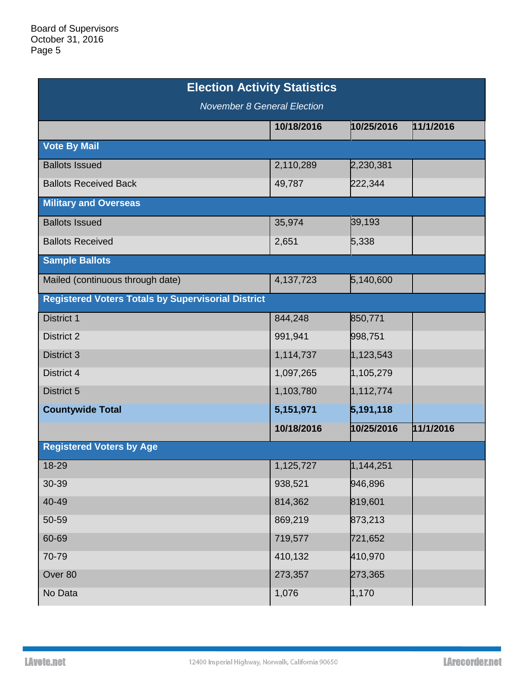| <b>Election Activity Statistics</b>                       |            |                        |           |  |  |  |
|-----------------------------------------------------------|------------|------------------------|-----------|--|--|--|
| <b>November 8 General Election</b>                        |            |                        |           |  |  |  |
|                                                           | 10/18/2016 | 10/25/2016             | 11/1/2016 |  |  |  |
| <b>Vote By Mail</b>                                       |            |                        |           |  |  |  |
| <b>Ballots Issued</b>                                     | 2,110,289  | 2,230,381              |           |  |  |  |
| <b>Ballots Received Back</b>                              | 49,787     | 222,344                |           |  |  |  |
| <b>Military and Overseas</b>                              |            |                        |           |  |  |  |
| <b>Ballots Issued</b>                                     | 35,974     | 39,193                 |           |  |  |  |
| <b>Ballots Received</b>                                   | 2,651      | 5,338                  |           |  |  |  |
| <b>Sample Ballots</b>                                     |            |                        |           |  |  |  |
| Mailed (continuous through date)                          | 4,137,723  | 5,140,600              |           |  |  |  |
| <b>Registered Voters Totals by Supervisorial District</b> |            |                        |           |  |  |  |
| <b>District 1</b>                                         | 844,248    | 850,771                |           |  |  |  |
| District 2                                                | 991,941    | 998,751                |           |  |  |  |
| District 3                                                | 1,114,737  | 1,123,543              |           |  |  |  |
| District 4                                                | 1,097,265  | 1,105,279              |           |  |  |  |
| District 5                                                | 1,103,780  | 1,112,774              |           |  |  |  |
| <b>Countywide Total</b>                                   | 5,151,971  | 5,191,118              |           |  |  |  |
|                                                           | 10/18/2016 | 10/25/2016             | 11/1/2016 |  |  |  |
| <b>Registered Voters by Age</b>                           |            |                        |           |  |  |  |
| 18-29                                                     | 1,125,727  | $\overline{1,144,251}$ |           |  |  |  |
| 30-39                                                     | 938,521    | 946,896                |           |  |  |  |
| 40-49                                                     | 814,362    | 819,601                |           |  |  |  |
| 50-59                                                     | 869,219    | 873,213                |           |  |  |  |
| 60-69                                                     | 719,577    | 721,652                |           |  |  |  |
| 70-79                                                     | 410,132    | 410,970                |           |  |  |  |
| Over 80                                                   | 273,357    | 273,365                |           |  |  |  |
| No Data                                                   | 1,076      | 1,170                  |           |  |  |  |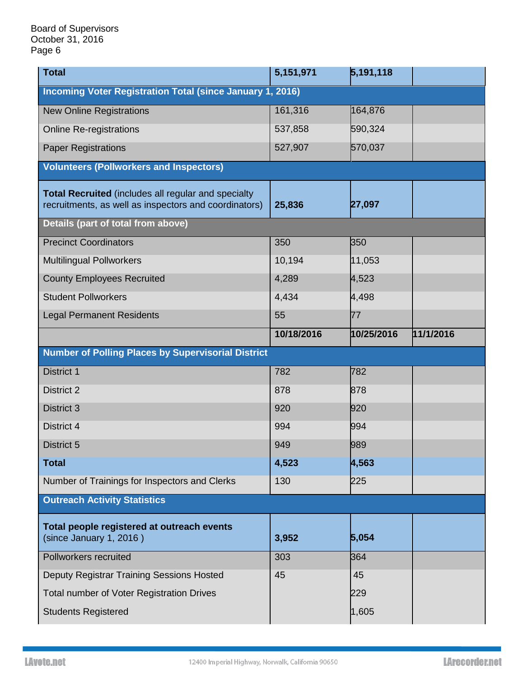| <b>Total</b>                                                                                                        | 5,151,971  | 5,191,118  |           |  |  |  |
|---------------------------------------------------------------------------------------------------------------------|------------|------------|-----------|--|--|--|
| <b>Incoming Voter Registration Total (since January 1, 2016)</b>                                                    |            |            |           |  |  |  |
| <b>New Online Registrations</b>                                                                                     | 161,316    | 164,876    |           |  |  |  |
| <b>Online Re-registrations</b>                                                                                      | 537,858    | 590,324    |           |  |  |  |
| <b>Paper Registrations</b>                                                                                          | 527,907    | 570,037    |           |  |  |  |
| <b>Volunteers (Pollworkers and Inspectors)</b>                                                                      |            |            |           |  |  |  |
| <b>Total Recruited</b> (includes all regular and specialty<br>recruitments, as well as inspectors and coordinators) | 25,836     | 27,097     |           |  |  |  |
| Details (part of total from above)                                                                                  |            |            |           |  |  |  |
| <b>Precinct Coordinators</b>                                                                                        | 350        | 350        |           |  |  |  |
| <b>Multilingual Pollworkers</b>                                                                                     | 10,194     | 11,053     |           |  |  |  |
| <b>County Employees Recruited</b>                                                                                   | 4,289      | 4,523      |           |  |  |  |
| <b>Student Pollworkers</b>                                                                                          | 4,434      | 4,498      |           |  |  |  |
| <b>Legal Permanent Residents</b>                                                                                    | 55         | 77         |           |  |  |  |
|                                                                                                                     | 10/18/2016 | 10/25/2016 | 11/1/2016 |  |  |  |
| <b>Number of Polling Places by Supervisorial District</b>                                                           |            |            |           |  |  |  |
|                                                                                                                     |            |            |           |  |  |  |
| <b>District 1</b>                                                                                                   | 782        | 782        |           |  |  |  |
| <b>District 2</b>                                                                                                   | 878        | 878        |           |  |  |  |
| <b>District 3</b>                                                                                                   | 920        | 920        |           |  |  |  |
| District 4                                                                                                          | 994        | 994        |           |  |  |  |
| District 5                                                                                                          | 949        | 989        |           |  |  |  |
| <b>Total</b>                                                                                                        | 4,523      | 4,563      |           |  |  |  |
| Number of Trainings for Inspectors and Clerks                                                                       | 130        | 225        |           |  |  |  |
| <b>Outreach Activity Statistics</b>                                                                                 |            |            |           |  |  |  |
| Total people registered at outreach events<br>(since January 1, 2016)                                               | 3,952      | 5,054      |           |  |  |  |
| Pollworkers recruited                                                                                               | 303        | 364        |           |  |  |  |
| Deputy Registrar Training Sessions Hosted                                                                           | 45         | 45         |           |  |  |  |
| Total number of Voter Registration Drives                                                                           |            | 229        |           |  |  |  |